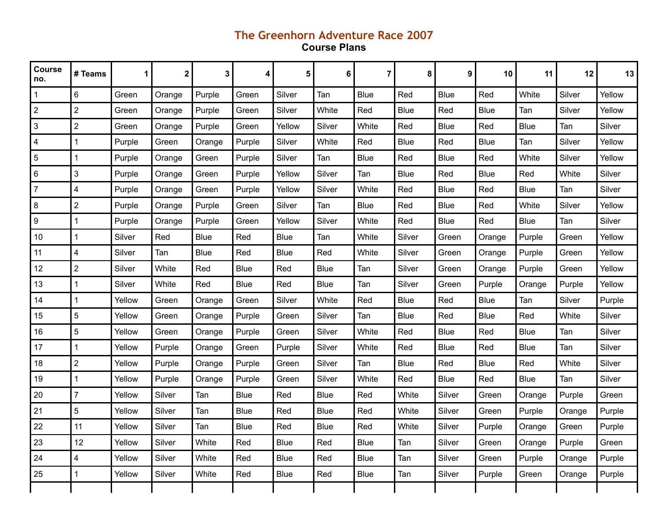## **The Greenhorn Adventure Race 2007 Course Plans**

| Course<br>no.  | # Teams        | 1      | 2      | 3           | 4           | 5           | 6           | $\overline{7}$ | 8           | 9           | 10          | 11          | 12     | 13     |
|----------------|----------------|--------|--------|-------------|-------------|-------------|-------------|----------------|-------------|-------------|-------------|-------------|--------|--------|
| 1              | $6\phantom{1}$ | Green  | Orange | Purple      | Green       | Silver      | Tan         | Blue           | Red         | <b>Blue</b> | Red         | White       | Silver | Yellow |
| $\overline{2}$ | $\overline{2}$ | Green  | Orange | Purple      | Green       | Silver      | White       | Red            | Blue        | Red         | Blue        | Tan         | Silver | Yellow |
| 3              | $\overline{2}$ | Green  | Orange | Purple      | Green       | Yellow      | Silver      | White          | Red         | <b>Blue</b> | Red         | <b>Blue</b> | Tan    | Silver |
| 4              | 1              | Purple | Green  | Orange      | Purple      | Silver      | White       | Red            | Blue        | Red         | <b>Blue</b> | Tan         | Silver | Yellow |
| 5              | 1              | Purple | Orange | Green       | Purple      | Silver      | Tan         | <b>Blue</b>    | Red         | <b>Blue</b> | Red         | White       | Silver | Yellow |
| 6              | 3              | Purple | Orange | Green       | Purple      | Yellow      | Silver      | Tan            | Blue        | Red         | <b>Blue</b> | Red         | White  | Silver |
| $\overline{7}$ | 4              | Purple | Orange | Green       | Purple      | Yellow      | Silver      | White          | Red         | <b>Blue</b> | Red         | <b>Blue</b> | Tan    | Silver |
| 8              | $\overline{2}$ | Purple | Orange | Purple      | Green       | Silver      | Tan         | <b>Blue</b>    | Red         | <b>Blue</b> | Red         | White       | Silver | Yellow |
| 9              | 1              | Purple | Orange | Purple      | Green       | Yellow      | Silver      | White          | Red         | <b>Blue</b> | Red         | <b>Blue</b> | Tan    | Silver |
| 10             | 1              | Silver | Red    | <b>Blue</b> | Red         | <b>Blue</b> | Tan         | White          | Silver      | Green       | Orange      | Purple      | Green  | Yellow |
| 11             | $\overline{4}$ | Silver | Tan    | <b>Blue</b> | Red         | <b>Blue</b> | Red         | White          | Silver      | Green       | Orange      | Purple      | Green  | Yellow |
| 12             | $\overline{2}$ | Silver | White  | Red         | <b>Blue</b> | Red         | <b>Blue</b> | Tan            | Silver      | Green       | Orange      | Purple      | Green  | Yellow |
| 13             | 1              | Silver | White  | Red         | <b>Blue</b> | Red         | <b>Blue</b> | Tan            | Silver      | Green       | Purple      | Orange      | Purple | Yellow |
| 14             | 1              | Yellow | Green  | Orange      | Green       | Silver      | White       | Red            | <b>Blue</b> | Red         | Blue        | Tan         | Silver | Purple |
| 15             | $\sqrt{5}$     | Yellow | Green  | Orange      | Purple      | Green       | Silver      | Tan            | <b>Blue</b> | Red         | <b>Blue</b> | Red         | White  | Silver |
| 16             | 5              | Yellow | Green  | Orange      | Purple      | Green       | Silver      | White          | Red         | <b>Blue</b> | Red         | <b>Blue</b> | Tan    | Silver |
| 17             | 1              | Yellow | Purple | Orange      | Green       | Purple      | Silver      | White          | Red         | <b>Blue</b> | Red         | <b>Blue</b> | Tan    | Silver |
| 18             | $\overline{2}$ | Yellow | Purple | Orange      | Purple      | Green       | Silver      | Tan            | <b>Blue</b> | Red         | <b>Blue</b> | Red         | White  | Silver |
| 19             | $\mathbf{1}$   | Yellow | Purple | Orange      | Purple      | Green       | Silver      | White          | Red         | <b>Blue</b> | Red         | <b>Blue</b> | Tan    | Silver |
| 20             | $\overline{7}$ | Yellow | Silver | Tan         | <b>Blue</b> | Red         | <b>Blue</b> | Red            | White       | Silver      | Green       | Orange      | Purple | Green  |
| 21             | 5              | Yellow | Silver | Tan         | <b>Blue</b> | Red         | <b>Blue</b> | Red            | White       | Silver      | Green       | Purple      | Orange | Purple |
| 22             | 11             | Yellow | Silver | Tan         | <b>Blue</b> | Red         | <b>Blue</b> | Red            | White       | Silver      | Purple      | Orange      | Green  | Purple |
| 23             | 12             | Yellow | Silver | White       | Red         | <b>Blue</b> | Red         | <b>Blue</b>    | Tan         | Silver      | Green       | Orange      | Purple | Green  |
| 24             | 4              | Yellow | Silver | White       | Red         | Blue        | Red         | <b>Blue</b>    | Tan         | Silver      | Green       | Purple      | Orange | Purple |
| 25             | 1              | Yellow | Silver | White       | Red         | Blue        | Red         | <b>Blue</b>    | Tan         | Silver      | Purple      | Green       | Orange | Purple |
|                |                |        |        |             |             |             |             |                |             |             |             |             |        |        |